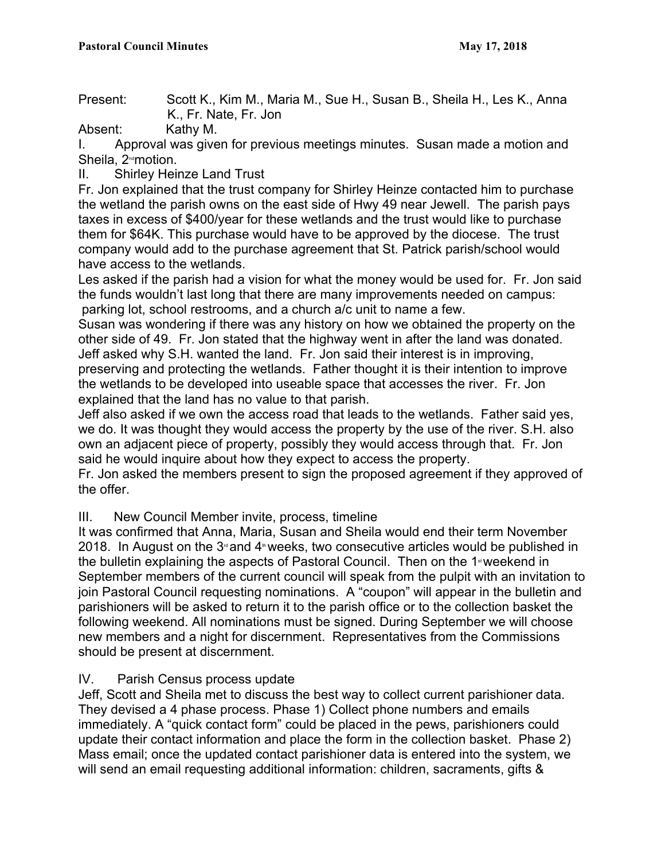Present: Scott K., Kim M., Maria M., Sue H., Susan B., Sheila H., Les K., Anna K., Fr. Nate, Fr. Jon

Absent: Kathy M.

I. Approval was given for previous meetings minutes. Susan made a motion and Sheila, 2<sup>nd</sup>motion.

II. Shirley Heinze Land Trust

Fr. Jon explained that the trust company for Shirley Heinze contacted him to purchase the wetland the parish owns on the east side of Hwy 49 near Jewell. The parish pays taxes in excess of \$400/year for these wetlands and the trust would like to purchase them for \$64K. This purchase would have to be approved by the diocese. The trust company would add to the purchase agreement that St. Patrick parish/school would have access to the wetlands.

Les asked if the parish had a vision for what the money would be used for. Fr. Jon said the funds wouldn't last long that there are many improvements needed on campus: parking lot, school restrooms, and a church a/c unit to name a few.

Susan was wondering if there was any history on how we obtained the property on the other side of 49. Fr. Jon stated that the highway went in after the land was donated. Jeff asked why S.H. wanted the land. Fr. Jon said their interest is in improving, preserving and protecting the wetlands. Father thought it is their intention to improve the wetlands to be developed into useable space that accesses the river. Fr. Jon explained that the land has no value to that parish.

Jeff also asked if we own the access road that leads to the wetlands. Father said yes, we do. It was thought they would access the property by the use of the river. S.H. also own an adjacent piece of property, possibly they would access through that. Fr. Jon said he would inquire about how they expect to access the property.

Fr. Jon asked the members present to sign the proposed agreement if they approved of the offer.

# III. New Council Member invite, process, timeline

It was confirmed that Anna, Maria, Susan and Sheila would end their term November 2018. In August on the  $3<sup>d</sup>$  and  $4<sup>th</sup>$  weeks, two consecutive articles would be published in the bulletin explaining the aspects of Pastoral Council. Then on the 1<sup>st</sup> weekend in September members of the current council will speak from the pulpit with an invitation to join Pastoral Council requesting nominations. A "coupon" will appear in the bulletin and parishioners will be asked to return it to the parish office or to the collection basket the following weekend. All nominations must be signed. During September we will choose new members and a night for discernment. Representatives from the Commissions should be present at discernment.

### IV. Parish Census process update

Jeff, Scott and Sheila met to discuss the best way to collect current parishioner data. They devised a 4 phase process. Phase 1) Collect phone numbers and emails immediately. A "quick contact form" could be placed in the pews, parishioners could update their contact information and place the form in the collection basket. Phase 2) Mass email; once the updated contact parishioner data is entered into the system, we will send an email requesting additional information: children, sacraments, gifts &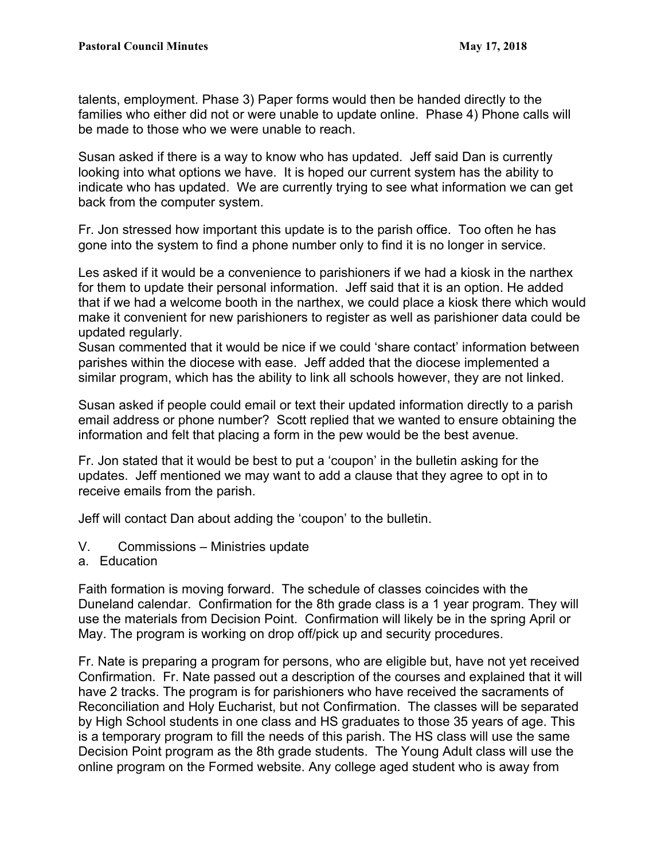talents, employment. Phase 3) Paper forms would then be handed directly to the families who either did not or were unable to update online. Phase 4) Phone calls will be made to those who we were unable to reach.

Susan asked if there is a way to know who has updated. Jeff said Dan is currently looking into what options we have. It is hoped our current system has the ability to indicate who has updated. We are currently trying to see what information we can get back from the computer system.

Fr. Jon stressed how important this update is to the parish office. Too often he has gone into the system to find a phone number only to find it is no longer in service.

Les asked if it would be a convenience to parishioners if we had a kiosk in the narthex for them to update their personal information. Jeff said that it is an option. He added that if we had a welcome booth in the narthex, we could place a kiosk there which would make it convenient for new parishioners to register as well as parishioner data could be updated regularly.

Susan commented that it would be nice if we could 'share contact' information between parishes within the diocese with ease. Jeff added that the diocese implemented a similar program, which has the ability to link all schools however, they are not linked.

Susan asked if people could email or text their updated information directly to a parish email address or phone number? Scott replied that we wanted to ensure obtaining the information and felt that placing a form in the pew would be the best avenue.

Fr. Jon stated that it would be best to put a 'coupon' in the bulletin asking for the updates. Jeff mentioned we may want to add a clause that they agree to opt in to receive emails from the parish.

Jeff will contact Dan about adding the 'coupon' to the bulletin.

- V. Commissions Ministries update
- a. Education

Faith formation is moving forward. The schedule of classes coincides with the Duneland calendar. Confirmation for the 8th grade class is a 1 year program. They will use the materials from Decision Point. Confirmation will likely be in the spring April or May. The program is working on drop off/pick up and security procedures.

Fr. Nate is preparing a program for persons, who are eligible but, have not yet received Confirmation. Fr. Nate passed out a description of the courses and explained that it will have 2 tracks. The program is for parishioners who have received the sacraments of Reconciliation and Holy Eucharist, but not Confirmation. The classes will be separated by High School students in one class and HS graduates to those 35 years of age. This is a temporary program to fill the needs of this parish. The HS class will use the same Decision Point program as the 8th grade students. The Young Adult class will use the online program on the Formed website. Any college aged student who is away from